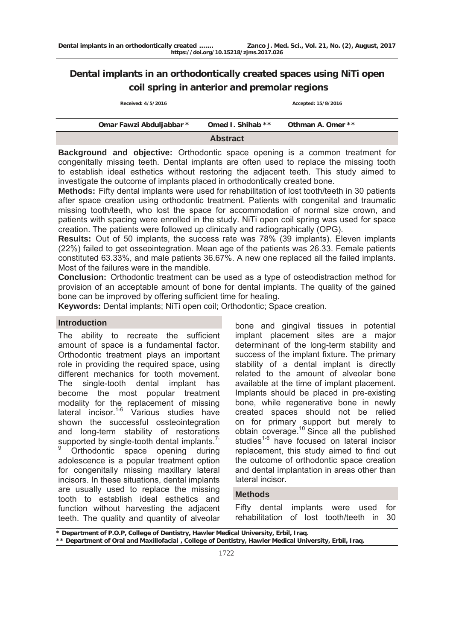# **Dental implants in an orthodontically created spaces using NiTi open coil spring in anterior and premolar regions**

 **Received: 4/5/2016 Accepted: 15/8/2016**

| Omar Fawzi Abduljabbar * | Omed I. Shihab ** | Othman A. Omer ** |  |
|--------------------------|-------------------|-------------------|--|
|                          | <b>Abstract</b>   |                   |  |

**Background and objective:** Orthodontic space opening is a common treatment for congenitally missing teeth. Dental implants are often used to replace the missing tooth to establish ideal esthetics without restoring the adjacent teeth. This study aimed to investigate the outcome of implants placed in orthodontically created bone.

**Methods:** Fifty dental implants were used for rehabilitation of lost tooth/teeth in 30 patients after space creation using orthodontic treatment. Patients with congenital and traumatic missing tooth/teeth, who lost the space for accommodation of normal size crown, and patients with spacing were enrolled in the study. NiTi open coil spring was used for space creation. The patients were followed up clinically and radiographically (OPG).

**Results:** Out of 50 implants, the success rate was 78% (39 implants). Eleven implants (22%) failed to get osseointegration. Mean age of the patients was 26.33. Female patients constituted 63.33%, and male patients 36.67%. A new one replaced all the failed implants. Most of the failures were in the mandible.

**Conclusion:** Orthodontic treatment can be used as a type of osteodistraction method for provision of an acceptable amount of bone for dental implants. The quality of the gained bone can be improved by offering sufficient time for healing.

**Keywords:** Dental implants; NiTi open coil; Orthodontic; Space creation.

# **Introduction**

The ability to recreate the sufficient amount of space is a fundamental factor. Orthodontic treatment plays an important role in providing the required space, using different mechanics for tooth movement. The single-tooth dental implant has become the most popular treatment modality for the replacement of missing lateral incisor.<sup>1-6</sup> Various studies have shown the successful ossteointegration and long-term stability of restorations supported by single-tooth dental implants.<sup>1-</sup>

9 Orthodontic space opening during adolescence is a popular treatment option for congenitally missing maxillary lateral incisors. In these situations, dental implants are usually used to replace the missing tooth to establish ideal esthetics and function without harvesting the adjacent teeth. The quality and quantity of alveolar

bone and gingival tissues in potential implant placement sites are a major determinant of the long-term stability and success of the implant fixture. The primary stability of a dental implant is directly related to the amount of alveolar bone available at the time of implant placement. Implants should be placed in pre-existing bone, while regenerative bone in newly created spaces should not be relied on for primary support but merely to obtain coverage.<sup>10</sup> Since all the published studies<sup>1-6</sup> have focused on lateral incisor replacement, this study aimed to find out the outcome of orthodontic space creation and dental implantation in areas other than lateral incisor.

## **Methods**

Fifty dental implants were used for rehabilitation of lost tooth/teeth in 30

**\* Department of P.O.P, College of Dentistry, Hawler Medical University, Erbil, Iraq.** 

**\*\* Department of Oral and Maxillofacial , College of Dentistry, Hawler Medical University, Erbil, Iraq.**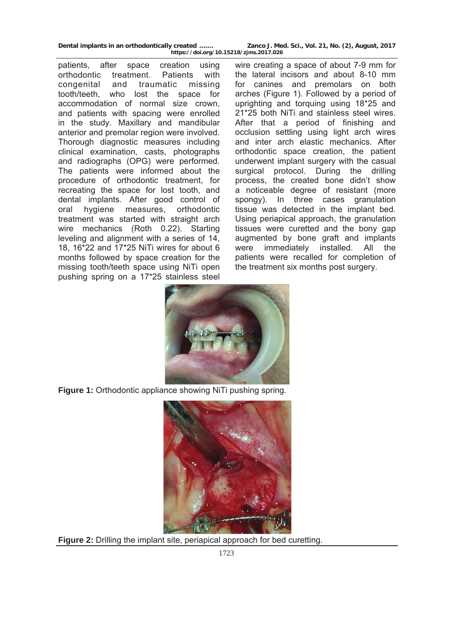patients, after space creation using orthodontic treatment. Patients with congenital and traumatic missing tooth/teeth, who lost the space for accommodation of normal size crown, and patients with spacing were enrolled in the study. Maxillary and mandibular anterior and premolar region were involved. Thorough diagnostic measures including clinical examination, casts, photographs and radiographs (OPG) were performed. The patients were informed about the procedure of orthodontic treatment, for recreating the space for lost tooth, and dental implants. After good control of oral hygiene measures, orthodontic treatment was started with straight arch wire mechanics (Roth 0.22). Starting leveling and alignment with a series of 14, 18, 16\*22 and 17\*25 NiTi wires for about 6 months followed by space creation for the missing tooth/teeth space using NiTi open pushing spring on a 17\*25 stainless steel

**Dental implants in an orthodontically created ……. Zanco J. Med. Sci., Vol. 21, No. (2), August, 2017 https://doi.org/10.15218/zjms.2017.026**

> wire creating a space of about 7-9 mm for the lateral incisors and about 8-10 mm for canines and premolars on both arches (Figure 1). Followed by a period of uprighting and torquing using 18\*25 and 21\*25 both NiTi and stainless steel wires. After that a period of finishing and occlusion settling using light arch wires and inter arch elastic mechanics. After orthodontic space creation, the patient underwent implant surgery with the casual surgical protocol. During the drilling process, the created bone didn't show a noticeable degree of resistant (more spongy). In three cases granulation tissue was detected in the implant bed. Using periapical approach, the granulation tissues were curetted and the bony gap augmented by bone graft and implants were immediately installed. All the patients were recalled for completion of the treatment six months post surgery.



**Figure 1:** Orthodontic appliance showing NiTi pushing spring.



**Figure 2:** Drilling the implant site, periapical approach for bed curetting.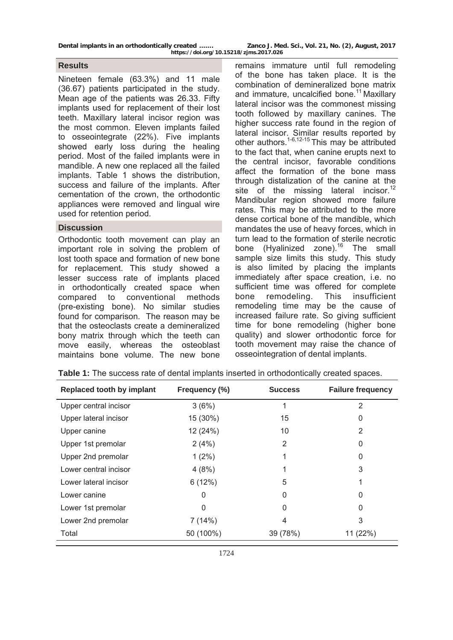| Dental implants in an orthodontically created | Zanco J. Med. Sci., Vol. 21, No. (2), August, 2017 |  |  |  |  |
|-----------------------------------------------|----------------------------------------------------|--|--|--|--|
| https://doi.org/10.15218/zjms.2017.026        |                                                    |  |  |  |  |

### **Results**

Nineteen female (63.3%) and 11 male (36.67) patients participated in the study. Mean age of the patients was 26.33. Fifty implants used for replacement of their lost teeth. Maxillary lateral incisor region was the most common. Eleven implants failed to osseointegrate (22%). Five implants showed early loss during the healing period. Most of the failed implants were in mandible. A new one replaced all the failed implants. Table 1 shows the distribution, success and failure of the implants. After cementation of the crown, the orthodontic appliances were removed and lingual wire used for retention period.

### **Discussion**

Orthodontic tooth movement can play an important role in solving the problem of lost tooth space and formation of new bone for replacement. This study showed a lesser success rate of implants placed in orthodontically created space when compared to conventional methods (pre-existing bone). No similar studies found for comparison. The reason may be that the osteoclasts create a demineralized bony matrix through which the teeth can move easily, whereas the osteoblast maintains bone volume. The new bone

remains immature until full remodeling of the bone has taken place. It is the combination of demineralized bone matrix and immature, uncalcified bone.<sup>11</sup> Maxillary lateral incisor was the commonest missing tooth followed by maxillary canines. The higher success rate found in the region of lateral incisor. Similar results reported by other authors.<sup>1-6,12-15</sup> This may be attributed to the fact that, when canine erupts next to the central incisor, favorable conditions affect the formation of the bone mass through distalization of the canine at the site of the missing lateral incisor.<sup>12</sup> Mandibular region showed more failure rates. This may be attributed to the more dense cortical bone of the mandible, which mandates the use of heavy forces, which in turn lead to the formation of sterile necrotic bone (Hyalinized zone). $16$  The small sample size limits this study. This study is also limited by placing the implants immediately after space creation, i.e. no sufficient time was offered for complete bone remodeling. This insufficient remodeling time may be the cause of increased failure rate. So giving sufficient time for bone remodeling (higher bone quality) and slower orthodontic force for tooth movement may raise the chance of osseointegration of dental implants.

| Replaced tooth by implant | Frequency (%) | <b>Success</b> | <b>Failure frequency</b> |
|---------------------------|---------------|----------------|--------------------------|
| Upper central incisor     | 3(6%)         | 1              | 2                        |
| Upper lateral incisor     | 15 (30%)      | 15             | 0                        |
| Upper canine              | 12 (24%)      | 10             | 2                        |
| Upper 1st premolar        | 2(4%)         | 2              | 0                        |
| Upper 2nd premolar        | $1(2\%)$      |                | 0                        |
| Lower central incisor     | 4(8%)         |                | 3                        |
| Lower lateral incisor     | 6(12%)        | 5              |                          |
| Lower canine              | 0             | 0              | 0                        |
| Lower 1st premolar        | 0             | $\Omega$       | 0                        |
| Lower 2nd premolar        | 7(14%)        | 4              | 3                        |
| Total                     | 50 (100%)     | 39 (78%)       | 11 (22%)                 |

|  |  |  |  |  |  |  |  | <b>Table 1:</b> The success rate of dental implants inserted in orthodontically created spaces. |
|--|--|--|--|--|--|--|--|-------------------------------------------------------------------------------------------------|
|--|--|--|--|--|--|--|--|-------------------------------------------------------------------------------------------------|